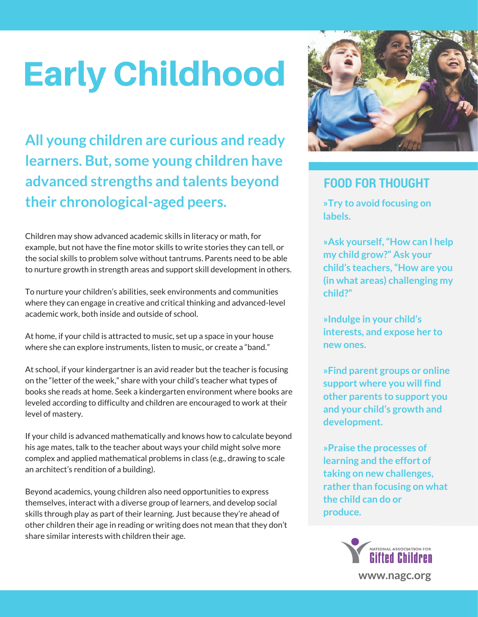## Early Childhood

**All young children are curious and ready learners. But, some young children have advanced strengths and talents beyond their chronological-aged peers.**

Children may show advanced academic skills in literacy or math, for example, but not have the fine motor skills to write stories they can tell, or the social skills to problem solve without tantrums. Parents need to be able to nurture growth in strength areas and support skill development in others.

To nurture your children's abilities, seek environments and communities where they can engage in creative and critical thinking and advanced-level academic work, both inside and outside of school.

At home, if your child is attracted to music, set up a space in your house where she can explore instruments, listen to music, or create a "band."

At school, if your kindergartner is an avid reader but the teacher is focusing on the "letter of the week," share with your child's teacher what types of books she reads at home. Seek a kindergarten environment where books are leveled according to difficulty and children are encouraged to work at their level of mastery.

If your child is advanced mathematically and knows how to calculate beyond his age mates, talk to the teacher about ways your child might solve more complex and applied mathematical problems in class (e.g., drawing to scale an architect's rendition of a building).

Beyond academics, young children also need opportunities to express themselves, interact with a diverse group of learners, and develop social skills through play as part of their learning. Just because they're ahead of other children their age in reading or writing does not mean that they don't share similar interests with children their age.



### **FOOD FOR THOUGHT**

**»Try to avoid focusing on labels.**

**»Ask yourself,"How can I help my child grow?" Ask your child's teachers,"How are you (in what areas) challenging my child?"**

**»Indulge in your child's interests, and expose her to new ones.**

**»Find parent groups or online support where you will find other parents to support you and your child's growth and development.**

**»Praise the processes of learning and the effort of taking on new challenges, rather than focusing on what the child can do or produce.**